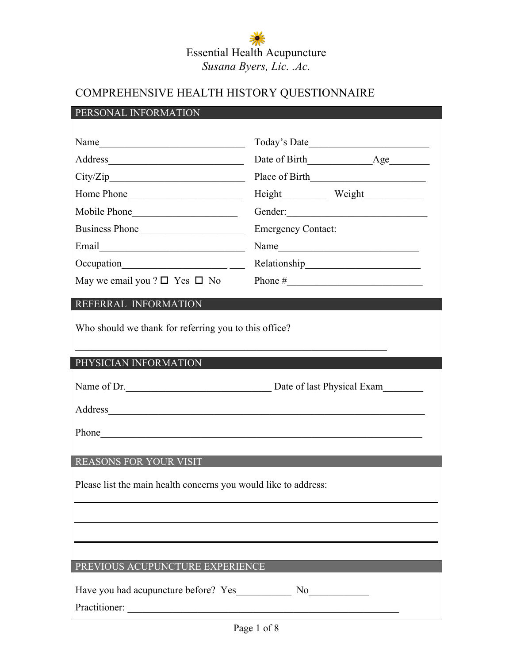### COMPREHENSIVE HEALTH HISTORY QUESTIONNAIRE

| PERSONAL INFORMATION                                                                                                                                                                                                           |                                        |  |  |
|--------------------------------------------------------------------------------------------------------------------------------------------------------------------------------------------------------------------------------|----------------------------------------|--|--|
|                                                                                                                                                                                                                                |                                        |  |  |
| Name                                                                                                                                                                                                                           |                                        |  |  |
|                                                                                                                                                                                                                                |                                        |  |  |
| City/Zip                                                                                                                                                                                                                       |                                        |  |  |
| Home Phone                                                                                                                                                                                                                     |                                        |  |  |
| Mobile Phone                                                                                                                                                                                                                   | Gender:                                |  |  |
| Business Phone                                                                                                                                                                                                                 | <b>Emergency Contact:</b>              |  |  |
|                                                                                                                                                                                                                                |                                        |  |  |
| Occupation__________________________                                                                                                                                                                                           |                                        |  |  |
| May we email you ? $\square$ Yes $\square$ No                                                                                                                                                                                  |                                        |  |  |
| REFERRAL INFORMATION                                                                                                                                                                                                           |                                        |  |  |
|                                                                                                                                                                                                                                |                                        |  |  |
| Who should we thank for referring you to this office?                                                                                                                                                                          |                                        |  |  |
|                                                                                                                                                                                                                                |                                        |  |  |
|                                                                                                                                                                                                                                |                                        |  |  |
| PHYSICIAN INFORMATION                                                                                                                                                                                                          |                                        |  |  |
|                                                                                                                                                                                                                                |                                        |  |  |
|                                                                                                                                                                                                                                | Name of Dr. Date of last Physical Exam |  |  |
| Address and the contract of the contract of the contract of the contract of the contract of the contract of the contract of the contract of the contract of the contract of the contract of the contract of the contract of th |                                        |  |  |
|                                                                                                                                                                                                                                |                                        |  |  |
| Phone https://www.archive.com/communications/communications/communications/communications/communications/communications/communications/communications/communications/communications/communications/communications/communicatio |                                        |  |  |
| REASONS FOR YOUR VISIT                                                                                                                                                                                                         |                                        |  |  |
|                                                                                                                                                                                                                                |                                        |  |  |
| Please list the main health concerns you would like to address:                                                                                                                                                                |                                        |  |  |
|                                                                                                                                                                                                                                |                                        |  |  |
|                                                                                                                                                                                                                                |                                        |  |  |
|                                                                                                                                                                                                                                |                                        |  |  |
| PREVIOUS ACUPUNCTURE EXPERIENCE                                                                                                                                                                                                |                                        |  |  |
|                                                                                                                                                                                                                                |                                        |  |  |
|                                                                                                                                                                                                                                |                                        |  |  |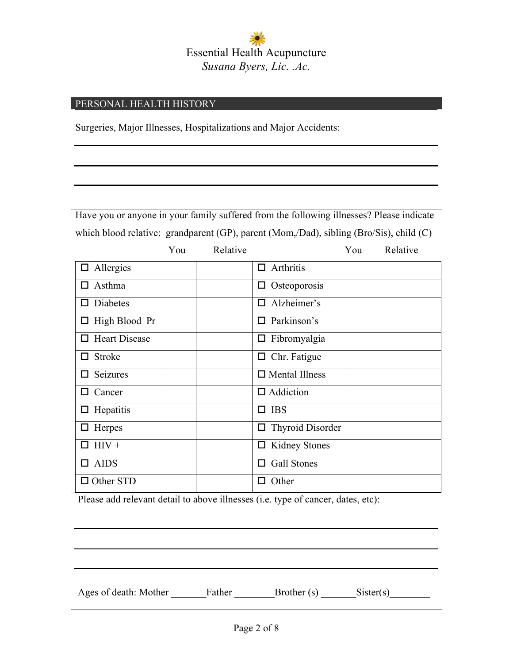| PERSONAL HEALTH HISTORY                                                          |     |          |                                                                                          |     |          |
|----------------------------------------------------------------------------------|-----|----------|------------------------------------------------------------------------------------------|-----|----------|
| Surgeries, Major Illnesses, Hospitalizations and Major Accidents:                |     |          |                                                                                          |     |          |
|                                                                                  |     |          |                                                                                          |     |          |
|                                                                                  |     |          |                                                                                          |     |          |
|                                                                                  |     |          |                                                                                          |     |          |
|                                                                                  |     |          | Have you or anyone in your family suffered from the following illnesses? Please indicate |     |          |
|                                                                                  |     |          | which blood relative: grandparent (GP), parent (Mom,/Dad), sibling (Bro/Sis), child (C)  |     |          |
|                                                                                  | You | Relative |                                                                                          | You | Relative |
| $\Box$ Allergies                                                                 |     |          | $\Box$ Arthritis                                                                         |     |          |
| Asthma<br>ப                                                                      |     |          | $\Box$ Osteoporosis                                                                      |     |          |
| Diabetes<br>ப                                                                    |     |          | $\Box$ Alzheimer's                                                                       |     |          |
| $\Box$ High Blood Pr                                                             |     |          | Parkinson's<br>п                                                                         |     |          |
| $\Box$ Heart Disease                                                             |     |          | $\Box$ Fibromyalgia                                                                      |     |          |
| $\Box$ Stroke                                                                    |     |          | $\Box$ Chr. Fatigue                                                                      |     |          |
| Seizures<br>ப                                                                    |     |          | $\Box$ Mental Illness                                                                    |     |          |
| Cancer<br>□                                                                      |     |          | $\Box$ Addiction                                                                         |     |          |
| $\Box$ Hepatitis                                                                 |     |          | $\Box$ IBS                                                                               |     |          |
| $\Box$ Herpes                                                                    |     |          | $\Box$ Thyroid Disorder                                                                  |     |          |
| $HIV +$                                                                          |     |          | <b>Kidney Stones</b>                                                                     |     |          |
| <b>AIDS</b><br>ப                                                                 |     |          | <b>Gall Stones</b><br>⊔                                                                  |     |          |
| $\Box$ Other STD                                                                 |     |          | $\Box$ Other                                                                             |     |          |
| Please add relevant detail to above illnesses (i.e. type of cancer, dates, etc): |     |          |                                                                                          |     |          |
|                                                                                  |     |          |                                                                                          |     |          |
|                                                                                  |     |          |                                                                                          |     |          |
|                                                                                  |     |          |                                                                                          |     |          |
|                                                                                  |     |          |                                                                                          |     |          |
| Ages of death: Mother Father Father Brother (s) Sister(s)                        |     |          |                                                                                          |     |          |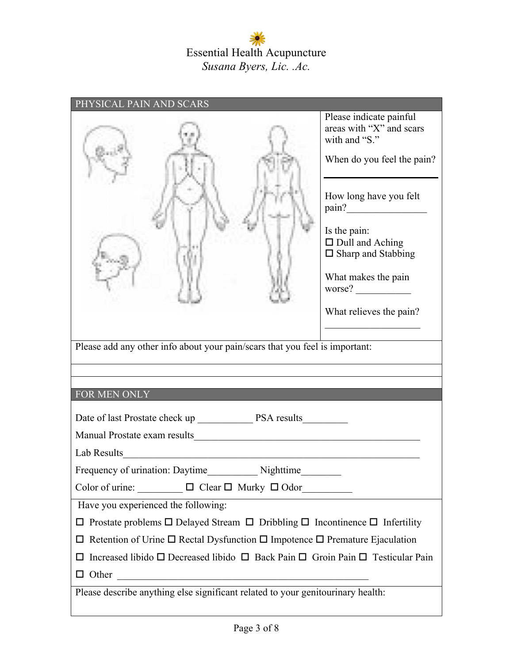| Please indicate painful<br>areas with "X" and scars<br>with and "S."<br>When do you feel the pain?<br>How long have you felt<br>$\frac{\text{pain?}}{\text{bin?}}$<br>Is the pain:<br>$\Box$ Dull and Aching<br>$\Box$ Sharp and Stabbing<br>What makes the pain<br>worse?<br>What relieves the pain?<br>Please add any other info about your pain/scars that you feel is important: |
|--------------------------------------------------------------------------------------------------------------------------------------------------------------------------------------------------------------------------------------------------------------------------------------------------------------------------------------------------------------------------------------|
|                                                                                                                                                                                                                                                                                                                                                                                      |
|                                                                                                                                                                                                                                                                                                                                                                                      |
|                                                                                                                                                                                                                                                                                                                                                                                      |
|                                                                                                                                                                                                                                                                                                                                                                                      |
|                                                                                                                                                                                                                                                                                                                                                                                      |
|                                                                                                                                                                                                                                                                                                                                                                                      |
| FOR MEN ONLY                                                                                                                                                                                                                                                                                                                                                                         |
|                                                                                                                                                                                                                                                                                                                                                                                      |
|                                                                                                                                                                                                                                                                                                                                                                                      |
| Lab Results                                                                                                                                                                                                                                                                                                                                                                          |
|                                                                                                                                                                                                                                                                                                                                                                                      |
| Color of urine: $\Box$ $\Box$ Clear $\Box$ Murky $\Box$ Odor                                                                                                                                                                                                                                                                                                                         |
| Have you experienced the following:                                                                                                                                                                                                                                                                                                                                                  |
|                                                                                                                                                                                                                                                                                                                                                                                      |
| $\Box$ Prostate problems $\Box$ Delayed Stream $\Box$ Dribbling $\Box$ Incontinence $\Box$ Infertility                                                                                                                                                                                                                                                                               |
| $\Box$ Retention of Urine $\Box$ Rectal Dysfunction $\Box$ Impotence $\Box$ Premature Ejaculation                                                                                                                                                                                                                                                                                    |
| $\Box$ Increased libido $\Box$ Decreased libido $\Box$ Back Pain $\Box$ Groin Pain $\Box$ Testicular Pain                                                                                                                                                                                                                                                                            |
| $\Box$ Other<br><u> 1980 - Johann Barbara, martxa alemaniar a</u>                                                                                                                                                                                                                                                                                                                    |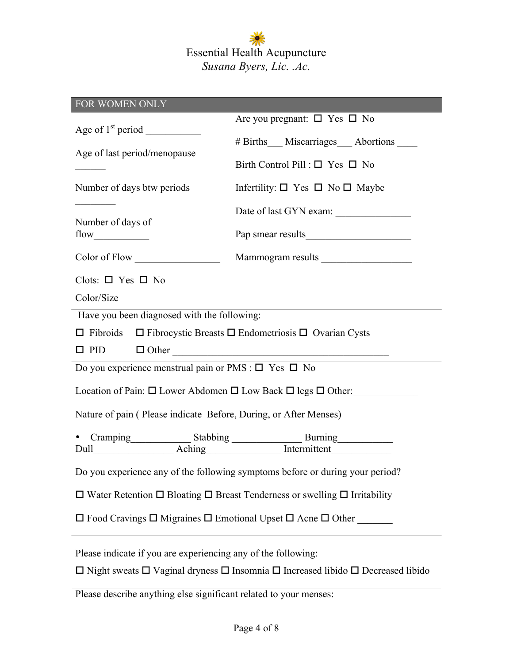| FOR WOMEN ONLY                                                                                             |                                                         |  |  |
|------------------------------------------------------------------------------------------------------------|---------------------------------------------------------|--|--|
|                                                                                                            | Are you pregnant: $\square$ Yes $\square$ No            |  |  |
|                                                                                                            | #Births__Miscarriages__Abortions ___                    |  |  |
| Age of last period/menopause                                                                               |                                                         |  |  |
|                                                                                                            | Birth Control Pill : $\square$ Yes $\square$ No         |  |  |
| Number of days btw periods                                                                                 | Infertility: $\square$ Yes $\square$ No $\square$ Maybe |  |  |
| $\mathcal{L}^{\text{max}}_{\text{max}}$ , where $\mathcal{L}^{\text{max}}_{\text{max}}$                    | Date of last GYN exam:                                  |  |  |
| Number of days of                                                                                          |                                                         |  |  |
|                                                                                                            |                                                         |  |  |
| Color of Flow                                                                                              | Mammogram results                                       |  |  |
| Clots: $\square$ Yes $\square$ No                                                                          |                                                         |  |  |
|                                                                                                            |                                                         |  |  |
| Have you been diagnosed with the following:                                                                |                                                         |  |  |
| $\Box$ Fibroids $\Box$ Fibrocystic Breasts $\Box$ Endometriosis $\Box$ Ovarian Cysts                       |                                                         |  |  |
| $\Box$ PID $\Box$ Other                                                                                    |                                                         |  |  |
| Do you experience menstrual pain or PMS : $\square$ Yes $\square$ No                                       |                                                         |  |  |
| Location of Pain: $\square$ Lower Abdomen $\square$ Low Back $\square$ legs $\square$ Other:               |                                                         |  |  |
| Nature of pain (Please indicate Before, During, or After Menses)                                           |                                                         |  |  |
| • Cramping Stabbing Burning Burning Burning Dull                                                           |                                                         |  |  |
|                                                                                                            |                                                         |  |  |
| Do you experience any of the following symptoms before or during your period?                              |                                                         |  |  |
| $\Box$ Water Retention $\Box$ Bloating $\Box$ Breast Tenderness or swelling $\Box$ Irritability            |                                                         |  |  |
| $\Box$ Food Cravings $\Box$ Migraines $\Box$ Emotional Upset $\Box$ Acne $\Box$ Other                      |                                                         |  |  |
| Please indicate if you are experiencing any of the following:                                              |                                                         |  |  |
| $\Box$ Night sweats $\Box$ Vaginal dryness $\Box$ Insomnia $\Box$ Increased libido $\Box$ Decreased libido |                                                         |  |  |
| Please describe anything else significant related to your menses:                                          |                                                         |  |  |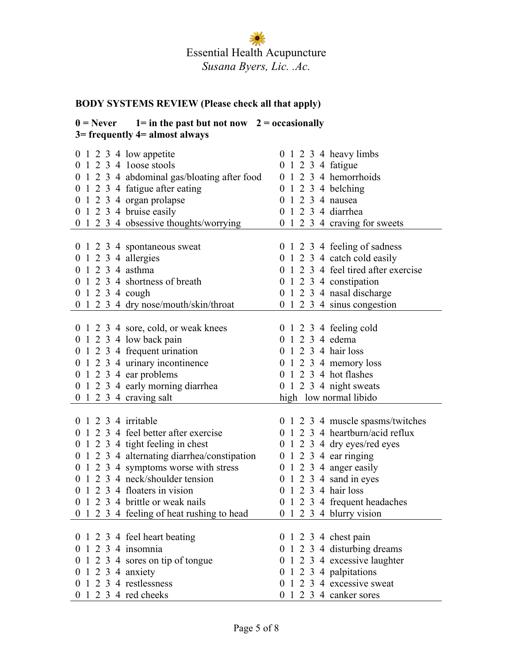#### **BODY SYSTEMS REVIEW (Please check all that apply)**

#### $0 =$  Never  $1 =$  in the past but not now  $2 =$  occasionally **3= frequently 4= almost always**

| 0 1 2 3 4 low appetite                      | 0 1 2 3 4 heavy limbs                          |
|---------------------------------------------|------------------------------------------------|
| 1 2 3 4 loose stools                        | 1 2 3 4 fatigue<br>$\theta$                    |
| 0 1 2 3 4 abdominal gas/bloating after food | 1 2 3 4 hemorrhoids<br>$\overline{0}$          |
| 0 1 2 3 4 fatigue after eating              | 1 2 3 4 belching<br>$\overline{0}$             |
| 0 1 2 3 4 organ prolapse                    | 1 2 3 4 nausea<br>$\theta$                     |
| $0 \t1 \t2 \t3 \t4 \tbruise easily$         | 1 2 3 4 diarrhea<br>$\theta$                   |
| 0 1 2 3 4 obsessive thoughts/worrying       | 0 1 2 3 4 craving for sweets                   |
|                                             |                                                |
| 0 1 2 3 4 spontaneous sweat                 | 0 1 2 3 4 feeling of sadness                   |
| $0 \t1 \t2 \t3 \t4$ allergies               | 0 1 2 3 4 catch cold easily                    |
| 0 1 2 3 4 asthma                            | 0 1 2 3 4 feel tired after exercise            |
| 1 2 3 4 shortness of breath                 | 0 1 2 3 4 constipation                         |
| 1 2 3 4 cough<br>$\overline{0}$             | 0 1 2 3 4 nasal discharge                      |
| 0 1 2 3 4 dry nose/mouth/skin/throat        | 0 1 2 3 4 sinus congestion                     |
|                                             |                                                |
| 0 1 2 3 4 sore, cold, or weak knees         | 0 1 2 3 4 feeling cold                         |
| 0 1 2 3 4 low back pain                     | 1 2 3 4 edema<br>$\theta$                      |
| 0 1 2 3 4 frequent urination                | 0 1 2 3 4 hair loss                            |
| 0 1 2 3 4 urinary incontinence              | 1 2 3 4 memory loss<br>$\theta$                |
| $0 \t1 \t2 \t3 \t4$ ear problems            | 0 1 2 3 4 hot flashes                          |
| 0 1 2 3 4 early morning diarrhea            | 0 1 2 3 4 night sweats                         |
| 0 1 2 3 4 craving salt                      | high low normal libido                         |
|                                             |                                                |
| 0 1 2 3 4 irritable                         | 0 1 2 3 4 muscle spasms/twitches               |
| 1 2 3 4 feel better after exercise          | 0 1 2 3 4 heartburn/acid reflux                |
| 0 1 2 3 4 tight feeling in chest            | $0 \t1 \t2 \t3 \t4$ dry eyes/red eyes          |
| 0 1 2 3 4 alternating diarrhea/constipation | $0 \t1 \t2 \t3 \t4$ ear ringing                |
| 0 1 2 3 4 symptoms worse with stress        | 0 1 2 3 4 anger easily                         |
| 0 1 2 3 4 neck/shoulder tension             | 1 2 3 4 sand in eyes<br>$\overline{0}$         |
| 1 2 3 4 floaters in vision                  | $1\ 2\ 3\ 4\ 1$ hair loss<br>$\overline{0}$    |
| 1 2 3 4 brittle or weak nails<br>$\theta$   | 1 2 3 4 frequent headaches<br>$\boldsymbol{0}$ |
| 0 1 2 3 4 feeling of heat rushing to head   | $0 \t1 \t2 \t3 \t4$ blurry vision              |
|                                             |                                                |
| 0 1 2 3 4 feel heart beating                | $0 \t1 \t2 \t3 \t4 \t chest pain$              |
| 0 1 2 3 4 insomnia                          | 0 1 2 3 4 disturbing dreams                    |
| 1 2 3 4 sores on tip of tongue              | 0 1 2 3 4 excessive laughter                   |
| $1\ 2\ 3\ 4$ anxiety                        | 0 1 2 3 4 palpitations                         |
| 1 2 3 4 restlessness<br>$\theta$            | 1 2 3 4 excessive sweat<br>$\theta$            |
| 1 2 3 4 red cheeks<br>$\overline{0}$        | 0 1 2 3 4 canker sores                         |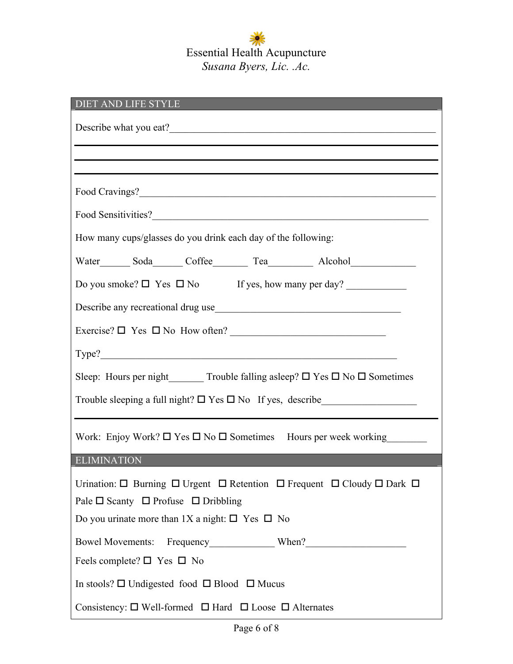| DIET AND LIFE STYLE                                                                                                                                                                                                                |
|------------------------------------------------------------------------------------------------------------------------------------------------------------------------------------------------------------------------------------|
|                                                                                                                                                                                                                                    |
|                                                                                                                                                                                                                                    |
|                                                                                                                                                                                                                                    |
| Food Sensitivities?                                                                                                                                                                                                                |
| How many cups/glasses do you drink each day of the following:                                                                                                                                                                      |
| Water_________ Soda_________ Coffee_____________ Tea______________ Alcohol_________________________                                                                                                                                |
| Do you smoke? $\square$ Yes $\square$ No If yes, how many per day?                                                                                                                                                                 |
| Describe any recreational drug use                                                                                                                                                                                                 |
|                                                                                                                                                                                                                                    |
| Type?                                                                                                                                                                                                                              |
| Sleep: Hours per night ________ Trouble falling asleep? $\Box$ Yes $\Box$ No $\Box$ Sometimes                                                                                                                                      |
|                                                                                                                                                                                                                                    |
| Work: Enjoy Work? $\square$ Yes $\square$ No $\square$ Sometimes Hours per week working                                                                                                                                            |
| <b>ELIMINATION</b>                                                                                                                                                                                                                 |
| Urination: $\Box$ Burning $\Box$ Urgent $\Box$ Retention $\Box$ Frequent $\Box$ Cloudy $\Box$ Dark $\Box$<br>Pale $\Box$ Scanty $\Box$ Profuse $\Box$ Dribbling<br>Do you urinate more than 1X a night: $\square$ Yes $\square$ No |
|                                                                                                                                                                                                                                    |
| Feels complete? $\square$ Yes $\square$ No                                                                                                                                                                                         |
| In stools? $\Box$ Undigested food $\Box$ Blood $\Box$ Mucus                                                                                                                                                                        |
| Consistency: $\square$ Well-formed $\square$ Hard $\square$ Loose $\square$ Alternates                                                                                                                                             |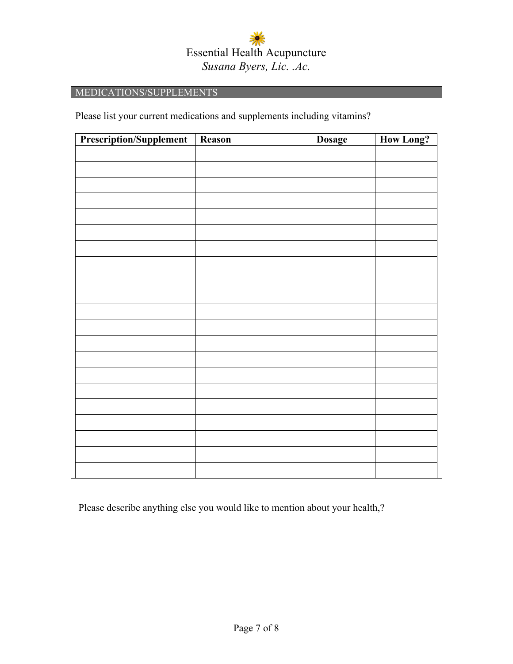| MEDICATIONS/SUPPLEMENTS                                                  |  |  |  |  |
|--------------------------------------------------------------------------|--|--|--|--|
| Please list your current medications and supplements including vitamins? |  |  |  |  |
|                                                                          |  |  |  |  |
|                                                                          |  |  |  |  |
|                                                                          |  |  |  |  |
|                                                                          |  |  |  |  |
|                                                                          |  |  |  |  |
|                                                                          |  |  |  |  |
|                                                                          |  |  |  |  |
|                                                                          |  |  |  |  |
|                                                                          |  |  |  |  |
|                                                                          |  |  |  |  |
|                                                                          |  |  |  |  |
|                                                                          |  |  |  |  |
|                                                                          |  |  |  |  |
|                                                                          |  |  |  |  |
|                                                                          |  |  |  |  |
|                                                                          |  |  |  |  |
|                                                                          |  |  |  |  |
|                                                                          |  |  |  |  |
|                                                                          |  |  |  |  |
|                                                                          |  |  |  |  |
|                                                                          |  |  |  |  |
|                                                                          |  |  |  |  |
|                                                                          |  |  |  |  |

Please describe anything else you would like to mention about your health,?